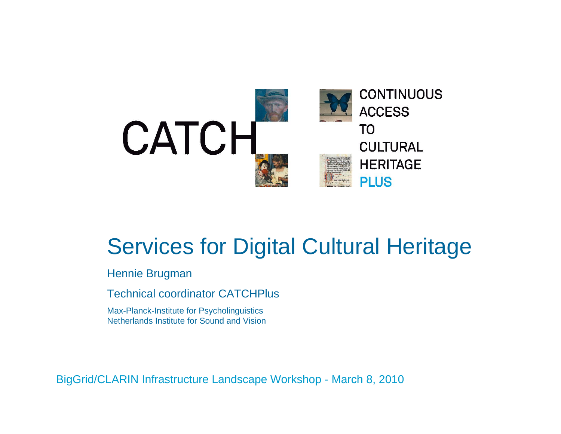

### Services for Digital Cultural Heritage

Hennie Brugman

Technical coordinator CATCHPlus

Max-Planck-Institute for Psycholinguistics Netherlands Institute for Sound and Vision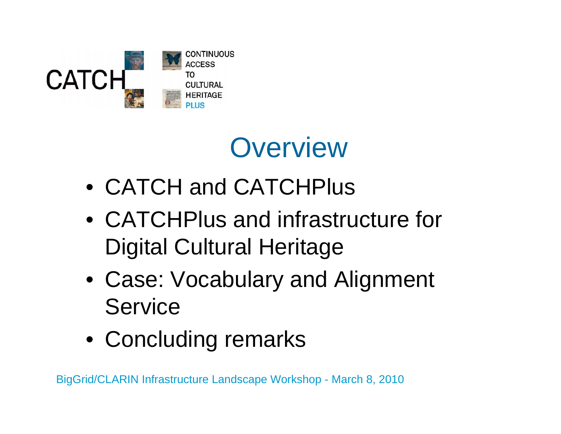

## **Overview**

- CATCH and CATCHPlus
- CATCHPlus and infrastructure for Digital Cultural Heritage
- Case: Vocabulary and Alignment Service
- Concluding remarks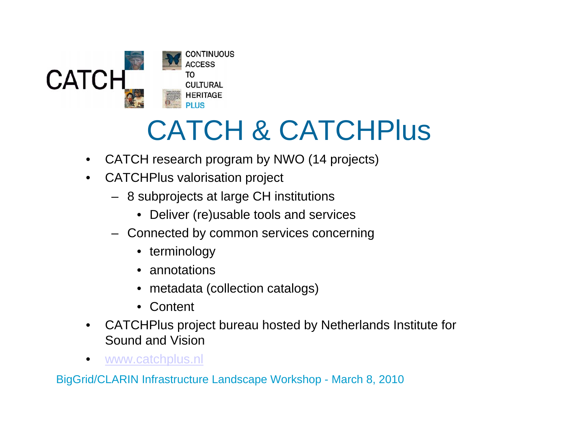

# CATCH & CATCHPlus

- $\bullet$ CATCH research program by NWO (14 projects)
- $\bullet$  CATCHPlus valorisation project
	- 8 subprojects at large CH institutions
		- Deliver (re)usable tools and services
	- Connected by common services concerning
		- terminology
		- annotations
		- metadata (collection catalogs)
		- Content
- $\bullet$  CATCHPlus project bureau hosted by Netherlands Institute for Sound and Vision
- •www.catchplus.nl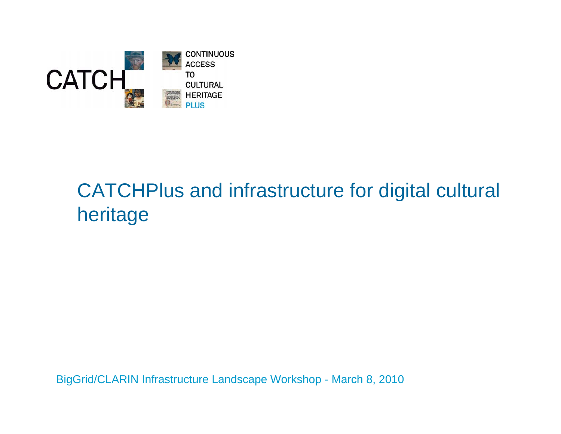

#### CATCHPlus and infrastructure for digital cultural heritage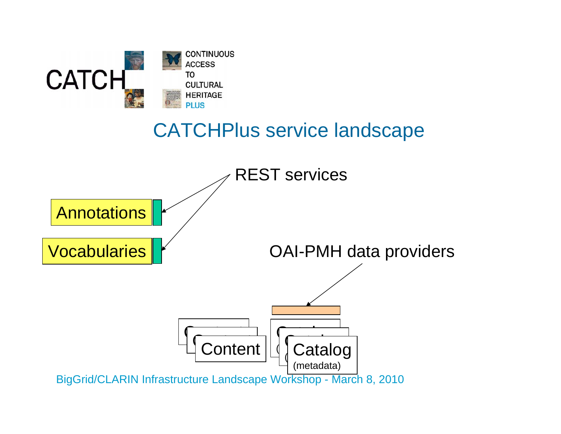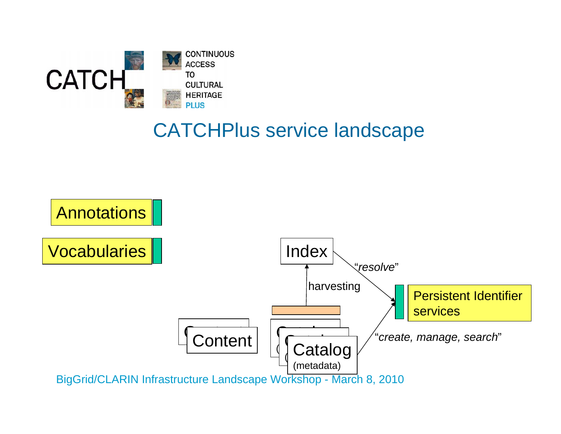

#### CATCHPlus service landscape

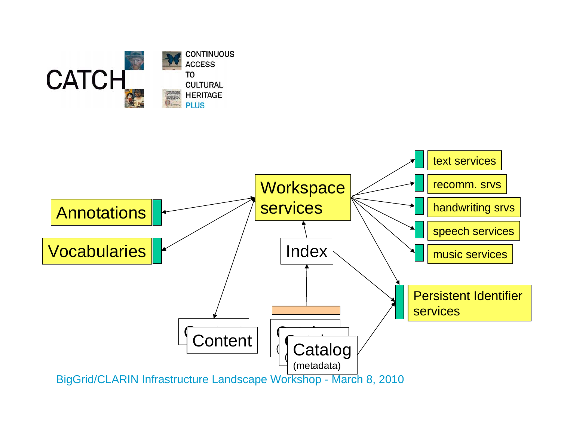

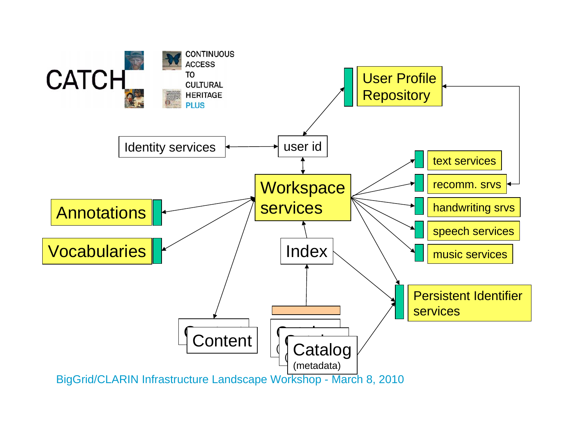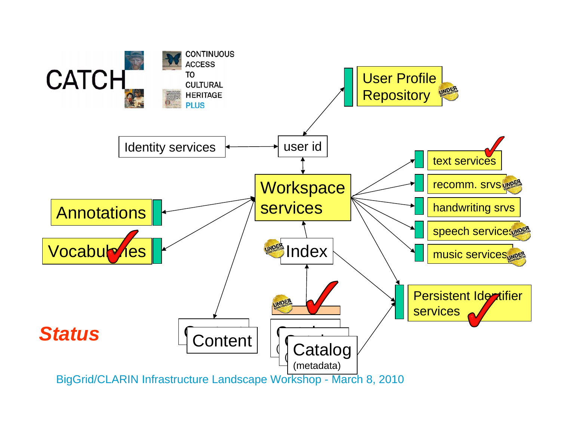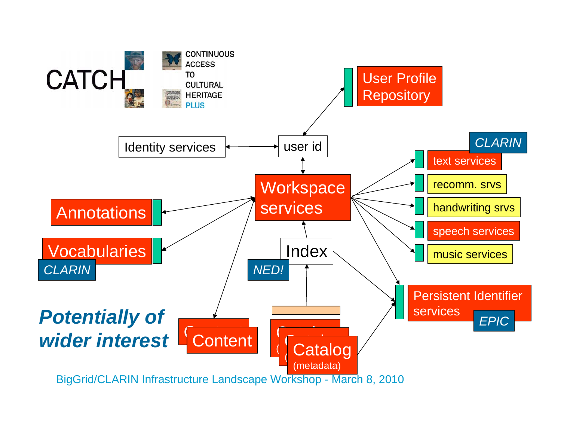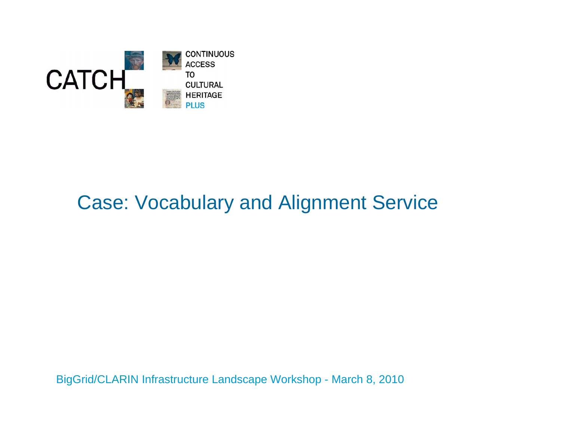

#### Case: Vocabulary and Alignment Service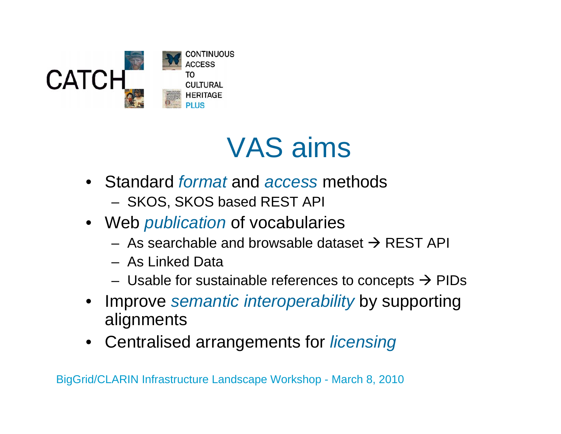

## VAS aims

- Standard *format* and *access* methods
	- SKOS, SKOS based REST API
- Web *publication* of vocabularies
	- As searchable and browsable dataset  $\rightarrow$  REST API
	- As Linked Data
	- Usable for sustainable references to concepts  $\rightarrow$  PIDs
- • Improve *semantic interoperability* by supporting alignments
- Centralised arrangements for *licensing*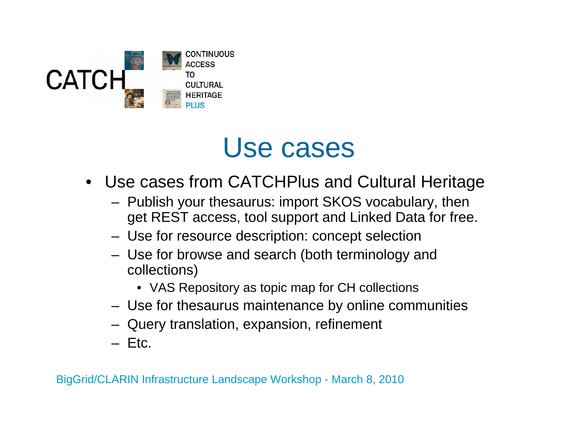

### Use cases

- Use cases from CATCHPlus and Cultural Heritage
	- Publish your thesaurus: import SKOS vocabulary, then get REST access, tool support and Linked Data for free.
	- Use for resource description: concept selection
	- Use for browse and search (both terminology and collections)
		- VAS Repository as topic map for CH collections
	- Use for thesaurus maintenance by online communities
	- Query translation, expansion, refinement
	- Etc.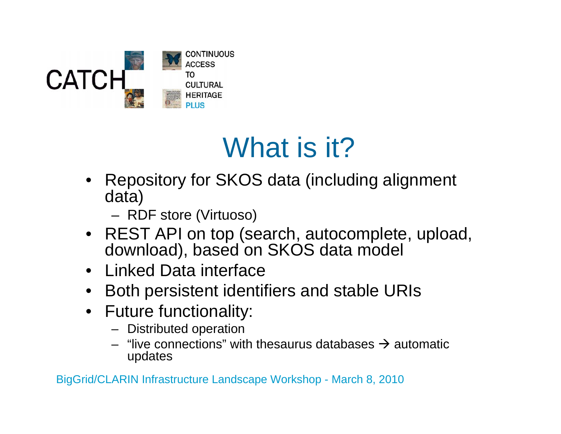

## What is it?

- • Repository for SKOS data (including alignment data)
	- RDF store (Virtuoso)
- REST API on top (search, autocomplete, upload, download), based on SKOS data model
- Linked Data interface
- Both persistent identifiers and stable URIs
- Future functionality:
	- Distributed operation
	- "live connections" with thesaurus databases  $\rightarrow$  automatic updates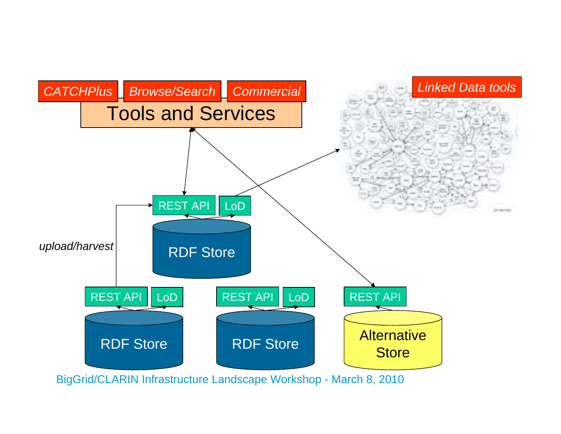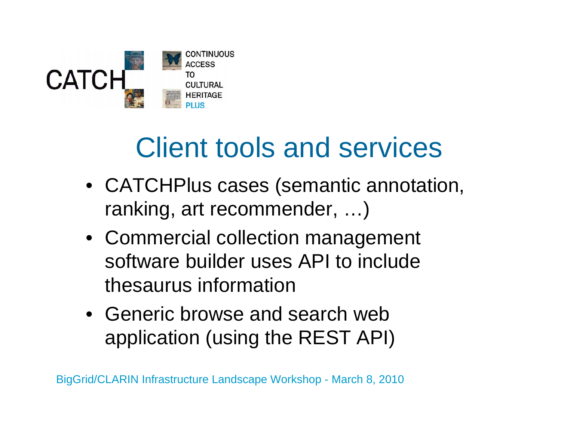

## Client tools and services

- CATCHPlus cases (semantic annotation, ranking, art recommender, …)
- Commercial collection management software builder uses API to include thesaurus information
- Generic browse and search web application (using the REST API)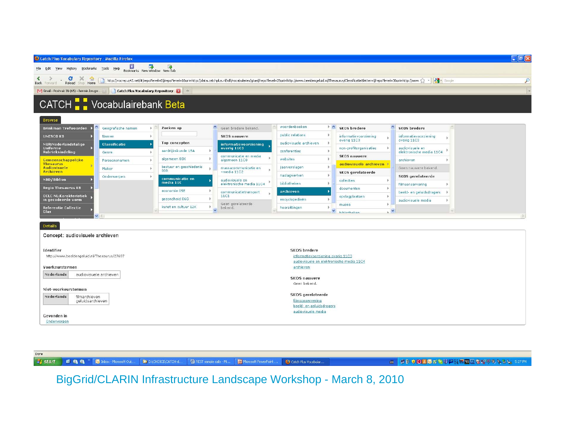

Done **i** start

enn Inbox - Microsoft Out. **DE DIVEHOICEVEATCH-d.** REST sample calls - Mi..

Microsoft PowerPoint Catch Plus Vocabular ■ コトウの3のゴンジアは三四四食型ネシシシ」5:27PM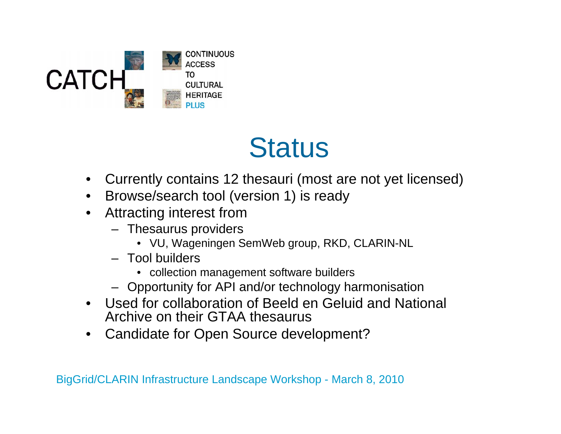![](_page_17_Picture_0.jpeg)

### **Status**

- Currently contains 12 thesauri (most are not yet licensed)
- Browse/search tool (version 1) is ready
- $\bullet$  Attracting interest from
	- Thesaurus providers
		- VU, Wageningen SemWeb group, RKD, CLARIN-NL
	- Tool builders
		- collection management software builders
	- Opportunity for API and/or technology harmonisation
- Used for collaboration of Beeld en Geluid and National Archive on their GTAA thesaurus
- $\bullet$ Candidate for Open Source development?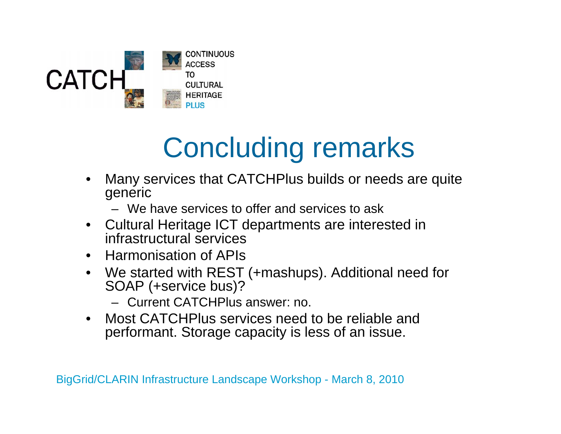![](_page_18_Picture_0.jpeg)

# Concluding remarks

- • Many services that CATCHPlus builds or needs are quite generic
	- We have services to offer and services to ask
- Cultural Heritage ICT departments are interested in infrastructural services
- Harmonisation of APIs
- We started with REST (+mashups). Additional need for SOAP (+service bus)?
	- Current CATCHPlus answer: no.
- • Most CATCHPlus services need to be reliable and performant. Storage capacity is less of an issue.